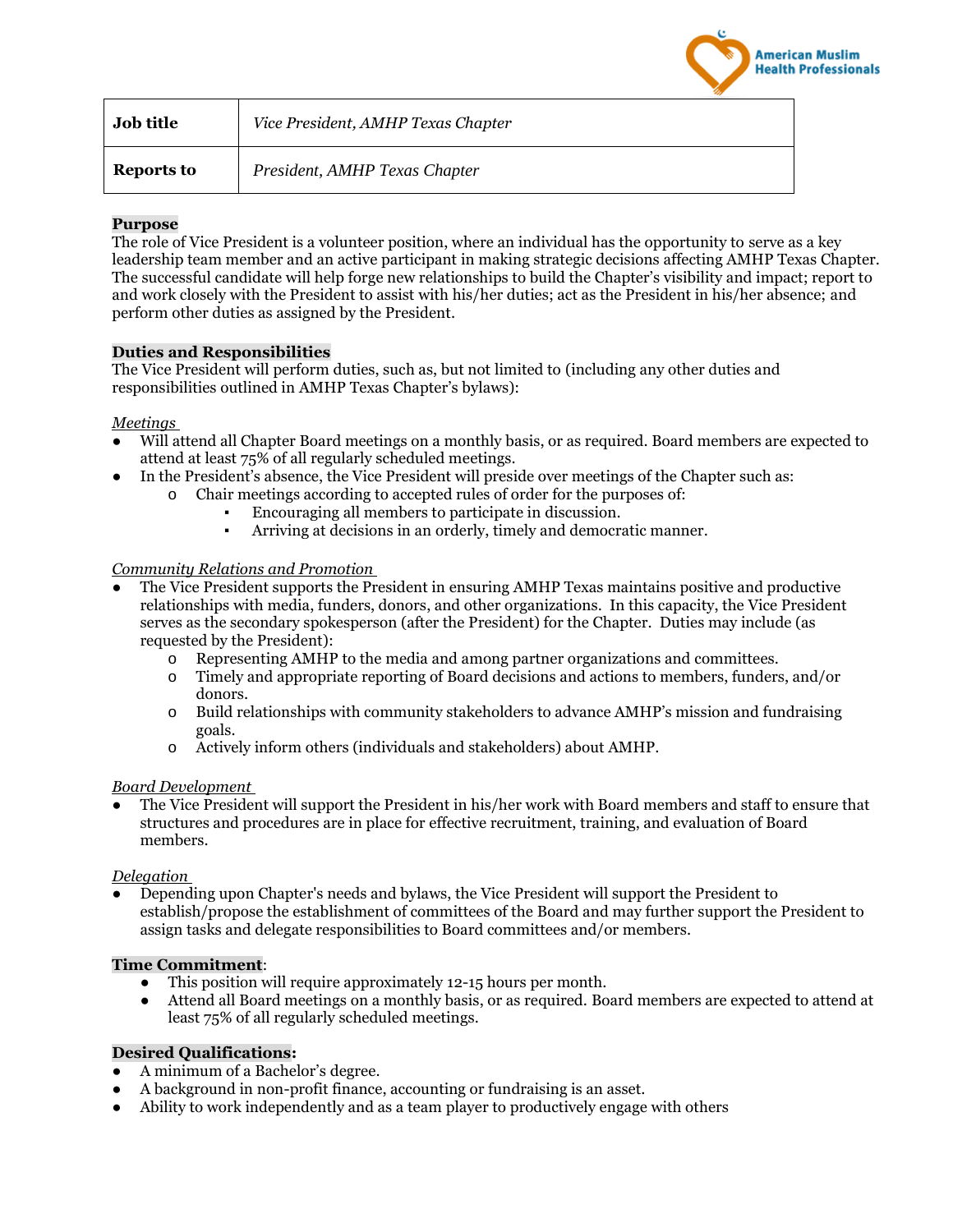

| <b>Job title</b>  | Vice President, AMHP Texas Chapter |
|-------------------|------------------------------------|
| <b>Reports to</b> | President, AMHP Texas Chapter      |

# **Purpose**

The role of Vice President is a volunteer position, where an individual has the opportunity to serve as a key leadership team member and an active participant in making strategic decisions affecting AMHP Texas Chapter. The successful candidate will help forge new relationships to build the Chapter's visibility and impact; report to and work closely with the President to assist with his/her duties; act as the President in his/her absence; and perform other duties as assigned by the President.

# **Duties and Responsibilities**

The Vice President will perform duties, such as, but not limited to (including any other duties and responsibilities outlined in AMHP Texas Chapter's bylaws):

# *Meetings*

- Will attend all Chapter Board meetings on a monthly basis, or as required. Board members are expected to attend at least 75% of all regularly scheduled meetings.
	- In the President's absence, the Vice President will preside over meetings of the Chapter such as:
		- o Chair meetings according to accepted rules of order for the purposes of:
			- Encouraging all members to participate in discussion.
			- Arriving at decisions in an orderly, timely and democratic manner.

# *Community Relations and Promotion*

- The Vice President supports the President in ensuring AMHP Texas maintains positive and productive relationships with media, funders, donors, and other organizations. In this capacity, the Vice President serves as the secondary spokesperson (after the President) for the Chapter. Duties may include (as requested by the President):
	- o Representing AMHP to the media and among partner organizations and committees.
	- o Timely and appropriate reporting of Board decisions and actions to members, funders, and/or donors.
	- o Build relationships with community stakeholders to advance AMHP's mission and fundraising goals.
	- o Actively inform others (individuals and stakeholders) about AMHP.

## *Board Development*

The Vice President will support the President in his/her work with Board members and staff to ensure that structures and procedures are in place for effective recruitment, training, and evaluation of Board members.

## *Delegation*

Depending upon Chapter's needs and bylaws, the Vice President will support the President to establish/propose the establishment of committees of the Board and may further support the President to assign tasks and delegate responsibilities to Board committees and/or members.

## **Time Commitment**:

- This position will require approximately 12-15 hours per month.
- Attend all Board meetings on a monthly basis, or as required. Board members are expected to attend at least 75% of all regularly scheduled meetings.

## **Desired Qualifications:**

- A minimum of a Bachelor's degree.
- A background in non-profit finance, accounting or fundraising is an asset.
- Ability to work independently and as a team player to productively engage with others